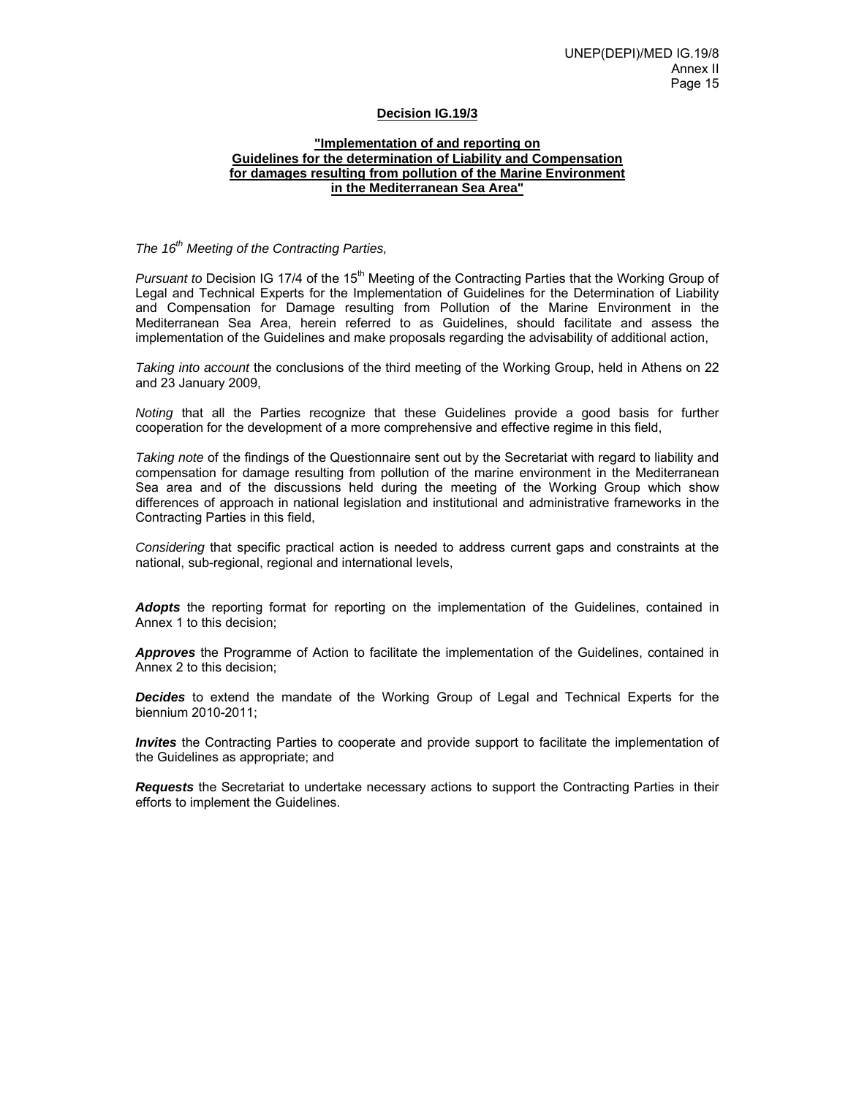#### **Decision IG.19/3**

#### **"Implementation of and reporting on Guidelines for the determination of Liability and Compensation for damages resulting from pollution of the Marine Environment in the Mediterranean Sea Area"**

*The 16th Meeting of the Contracting Parties,*

*Pursuant to* Decision IG 17/4 of the 15<sup>th</sup> Meeting of the Contracting Parties that the Working Group of Legal and Technical Experts for the Implementation of Guidelines for the Determination of Liability and Compensation for Damage resulting from Pollution of the Marine Environment in the Mediterranean Sea Area, herein referred to as Guidelines, should facilitate and assess the implementation of the Guidelines and make proposals regarding the advisability of additional action,

*Taking into account* the conclusions of the third meeting of the Working Group, held in Athens on 22 and 23 January 2009,

*Noting* that all the Parties recognize that these Guidelines provide a good basis for further cooperation for the development of a more comprehensive and effective regime in this field,

*Taking note* of the findings of the Questionnaire sent out by the Secretariat with regard to liability and compensation for damage resulting from pollution of the marine environment in the Mediterranean Sea area and of the discussions held during the meeting of the Working Group which show differences of approach in national legislation and institutional and administrative frameworks in the Contracting Parties in this field,

*Considering* that specific practical action is needed to address current gaps and constraints at the national, sub-regional, regional and international levels,

*Adopts* the reporting format for reporting on the implementation of the Guidelines, contained in Annex 1 to this decision;

*Approves* the Programme of Action to facilitate the implementation of the Guidelines, contained in Annex 2 to this decision;

*Decides* to extend the mandate of the Working Group of Legal and Technical Experts for the biennium 2010-2011;

*Invites* the Contracting Parties to cooperate and provide support to facilitate the implementation of the Guidelines as appropriate; and

*Requests* the Secretariat to undertake necessary actions to support the Contracting Parties in their efforts to implement the Guidelines.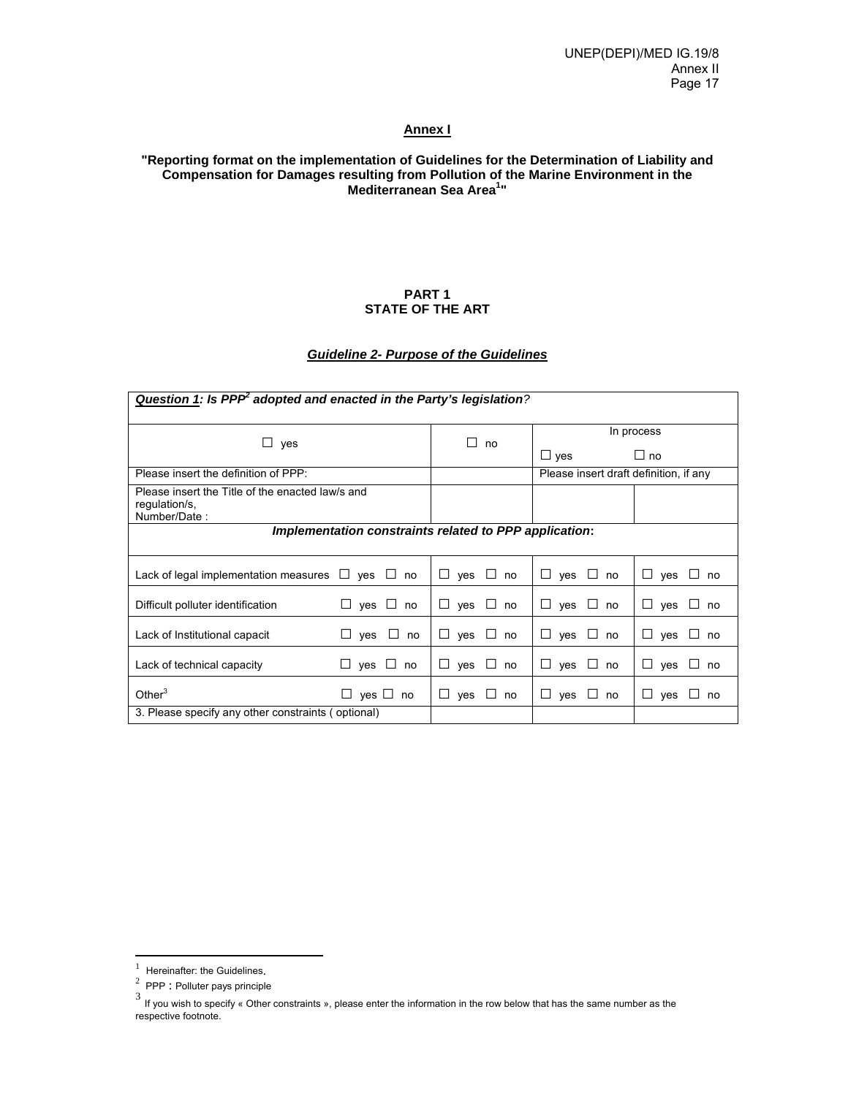# **Annex I**

## **"Reporting format on the implementation of Guidelines for the Determination of Liability and Compensation for Damages resulting from Pollution of the Marine Environment in the Mediterranean Sea Area1 "**

#### **PART 1 STATE OF THE ART**

# *Guideline 2- Purpose of the Guidelines*

| Question 1: Is PPP adopted and enacted in the Party's legislation?                |                          |                       |                                        |                           |  |  |  |
|-----------------------------------------------------------------------------------|--------------------------|-----------------------|----------------------------------------|---------------------------|--|--|--|
|                                                                                   |                          | ΙI                    |                                        | In process                |  |  |  |
| ⊔.<br>yes                                                                         |                          | no                    | $\Box$ yes                             | $\Box$ no                 |  |  |  |
| Please insert the definition of PPP:                                              |                          |                       | Please insert draft definition, if any |                           |  |  |  |
| Please insert the Title of the enacted law/s and<br>regulation/s,<br>Number/Date: |                          |                       |                                        |                           |  |  |  |
| Implementation constraints related to PPP application:                            |                          |                       |                                        |                           |  |  |  |
| Lack of legal implementation measures $\Box$ yes $\Box$ no                        |                          | $ves \Box no$<br>ш    | $\Box$ yes $\Box$ no                   | $\Box$ yes $\Box$ no      |  |  |  |
| Difficult polluter identification                                                 | $\Box$ yes $\Box$ no     | ⊔<br>$ves \cup no$    | $\Box$ yes<br>$\Box$<br>no             | $\Box$ ves<br>$\Box$ no   |  |  |  |
| Lack of Institutional capacit                                                     | $\Box$<br>yes<br>no<br>⊔ | ⊔<br>yes<br>$\Box$ no | $\sqcup$ yes $\sqcup$<br>no            | П<br>ves<br>no<br>$\perp$ |  |  |  |
| Lack of technical capacity                                                        | $\Box$ yes $\Box$ no     | ப<br>yes<br>$\Box$ no | $\Box$ yes<br>⊔<br>no                  | Ш<br>yes<br>$\Box$ no     |  |  |  |
| Other $3$                                                                         | $\Box$ yes $\Box$ no     | ⊔<br>ves<br>⊔ no      | $\Box$ yes<br>⊔<br>no                  | Ш<br>yes<br>$\sqcup$ no   |  |  |  |
| 3. Please specify any other constraints (optional)                                |                          |                       |                                        |                           |  |  |  |

 $\frac{1}{1}$ 

PPP : Polluter pays principle

<sup>3</sup> If you wish to specify « Other constraints », please enter the information in the row below that has the same number as the respective footnote.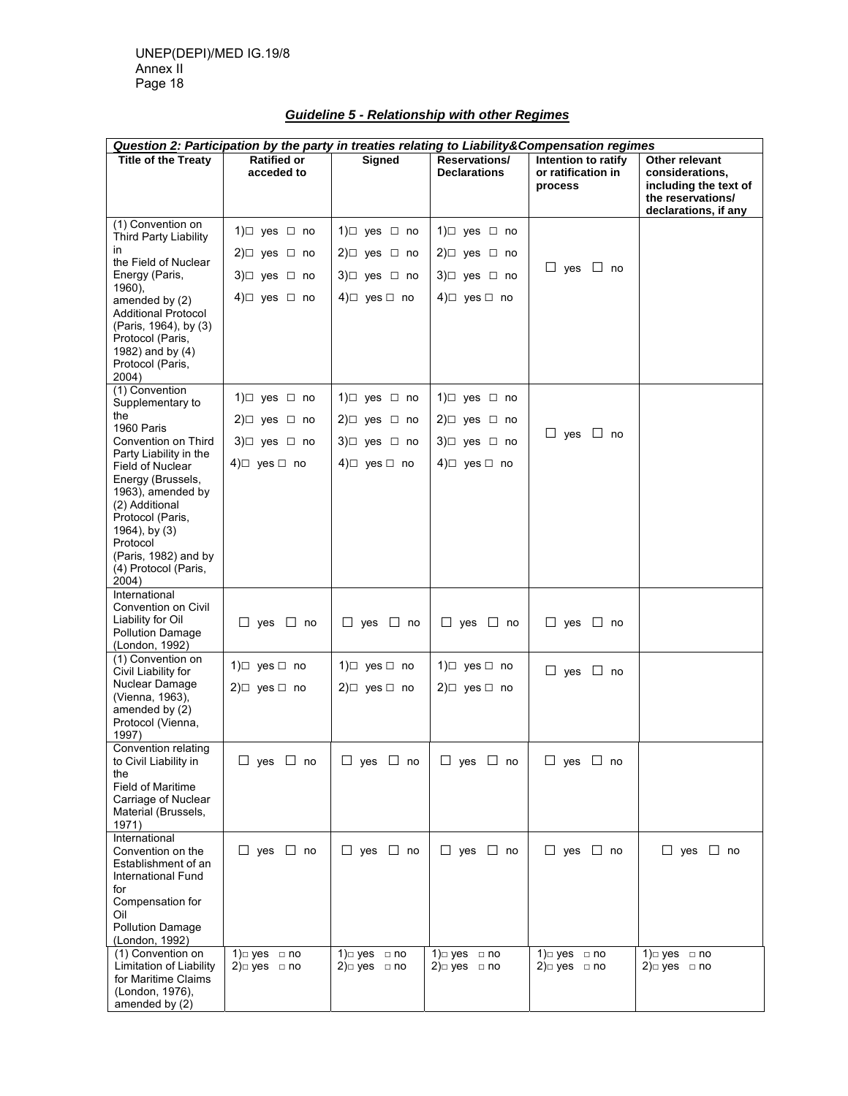| <b>Guideline 5 - Relationship with other Regimes</b> |  |  |  |  |
|------------------------------------------------------|--|--|--|--|
|------------------------------------------------------|--|--|--|--|

| <b>Question 2: Participation by the party in treaties relating to Liability&amp;Compensation regimes</b>                 |                                  |                               |                                      |                                                      |                                                                                                         |
|--------------------------------------------------------------------------------------------------------------------------|----------------------------------|-------------------------------|--------------------------------------|------------------------------------------------------|---------------------------------------------------------------------------------------------------------|
| <b>Title of the Treaty</b>                                                                                               | <b>Ratified or</b><br>acceded to | <b>Signed</b>                 | Reservations/<br><b>Declarations</b> | Intention to ratify<br>or ratification in<br>process | Other relevant<br>considerations,<br>including the text of<br>the reservations/<br>declarations, if any |
| (1) Convention on<br><b>Third Party Liability</b>                                                                        | 1) $\Box$ yes $\Box$ no          | 1) $\Box$ yes $\Box$ no       | 1) $\Box$ yes $\Box$ no              |                                                      |                                                                                                         |
| in.                                                                                                                      | $2 \square$ yes $\square$ no     | $2 \square$ yes $\square$ no  | $2 \square$ yes $\square$ no         |                                                      |                                                                                                         |
| the Field of Nuclear<br>Energy (Paris,                                                                                   | $3) \Box$ yes $\Box$ no          | $3) \square$ yes $\square$ no | $3) \square$ yes $\square$ no        | $\Box$ yes $\Box$ no                                 |                                                                                                         |
| 1960),<br>amended by (2)                                                                                                 | 4)□ yes □ no                     | 4)□ yes □ no                  | 4) $\Box$ yes $\Box$ no              |                                                      |                                                                                                         |
| <b>Additional Protocol</b><br>(Paris, 1964), by (3)<br>Protocol (Paris,<br>1982) and by (4)<br>Protocol (Paris,<br>2004) |                                  |                               |                                      |                                                      |                                                                                                         |
| (1) Convention<br>Supplementary to                                                                                       | 1) $\Box$ yes $\Box$ no          | 1) $\Box$ yes $\Box$ no       | 1) $\Box$ yes $\Box$ no              |                                                      |                                                                                                         |
| the                                                                                                                      | $2 \square$ yes $\square$ no     | $2 \square$ yes $\square$ no  | $2 \square$ yes $\square$ no         |                                                      |                                                                                                         |
| 1960 Paris<br>Convention on Third                                                                                        | $3) \Box$ yes $\Box$ no          | $3) \Box$ yes $\Box$ no       | $3) \Box$ yes $\Box$ no              | $\Box$ yes $\Box$ no                                 |                                                                                                         |
| Party Liability in the<br><b>Field of Nuclear</b><br>Energy (Brussels,<br>1963), amended by<br>(2) Additional            | $4)$ ves no                      | 4)□ yes □ no                  | $4 \square$ yes $\square$ no         |                                                      |                                                                                                         |
| Protocol (Paris,<br>1964), by (3)<br>Protocol<br>(Paris, 1982) and by<br>(4) Protocol (Paris,<br>2004)                   |                                  |                               |                                      |                                                      |                                                                                                         |
| International                                                                                                            |                                  |                               |                                      |                                                      |                                                                                                         |
| Convention on Civil<br>Liability for Oil<br><b>Pollution Damage</b><br>(London, 1992)                                    | $\Box$ yes $\Box$ no             | $\Box$ yes $\Box$ no          | $\Box$ yes $\Box$ no                 | $\Box$ yes $\Box$ no                                 |                                                                                                         |
| (1) Convention on<br>Civil Liability for                                                                                 | 1) $\Box$ yes $\Box$ no          | 1) $\Box$ yes $\Box$ no       | 1) $\Box$ yes $\Box$ no              | $\Box$ yes $\Box$ no                                 |                                                                                                         |
| Nuclear Damage<br>(Vienna, 1963),<br>amended by (2)<br>Protocol (Vienna,<br>1997)                                        | $2 \square$ yes $\square$ no     | $2 \square$ yes $\square$ no  | 2) $\Box$ yes $\Box$ no              |                                                      |                                                                                                         |
| Convention relating<br>to Civil Liability in                                                                             | $\Box$ yes $\Box$ no             | $\Box$ yes $\Box$ no          | $\Box$ yes $\Box$ no                 | $\Box$ yes $\Box$ no                                 |                                                                                                         |
| the<br><b>Field of Maritime</b><br>Carriage of Nuclear<br>Material (Brussels,<br>1971)                                   |                                  |                               |                                      |                                                      |                                                                                                         |
| International<br>Convention on the<br>Establishment of an<br><b>International Fund</b><br>for<br>Compensation for        | $\Box$ yes $\Box$ no             | $\Box$ yes $\Box$ no          | $\Box$ yes $\Box$ no                 | $\Box$ yes $\Box$ no                                 | $\Box$ yes $\Box$ no                                                                                    |
| Oil<br>Pollution Damage                                                                                                  |                                  |                               |                                      |                                                      |                                                                                                         |
| (London, 1992)<br>(1) Convention on                                                                                      | $1$ ) $\Box$ yes $\Box$ no       | $1$ $\equiv$ yes $\equiv$ no  | 1)⊟ yes<br>$\Box$ no                 | $1$ ) $\Box$ yes $\Box$ no                           | $1$ $\equiv$ yes $\equiv$ no                                                                            |
| <b>Limitation of Liability</b><br>for Maritime Claims<br>(London, 1976),<br>amended by (2)                               | $2$ ) $\Box$ yes $\Box$ no       | 2) $□$ yes $□$ no             | $2$ $\cup$ yes $\Box$ no             | $2$ ) $\Box$ yes $\Box$ no                           | $2$ $\cup$ yes $\Box$ no                                                                                |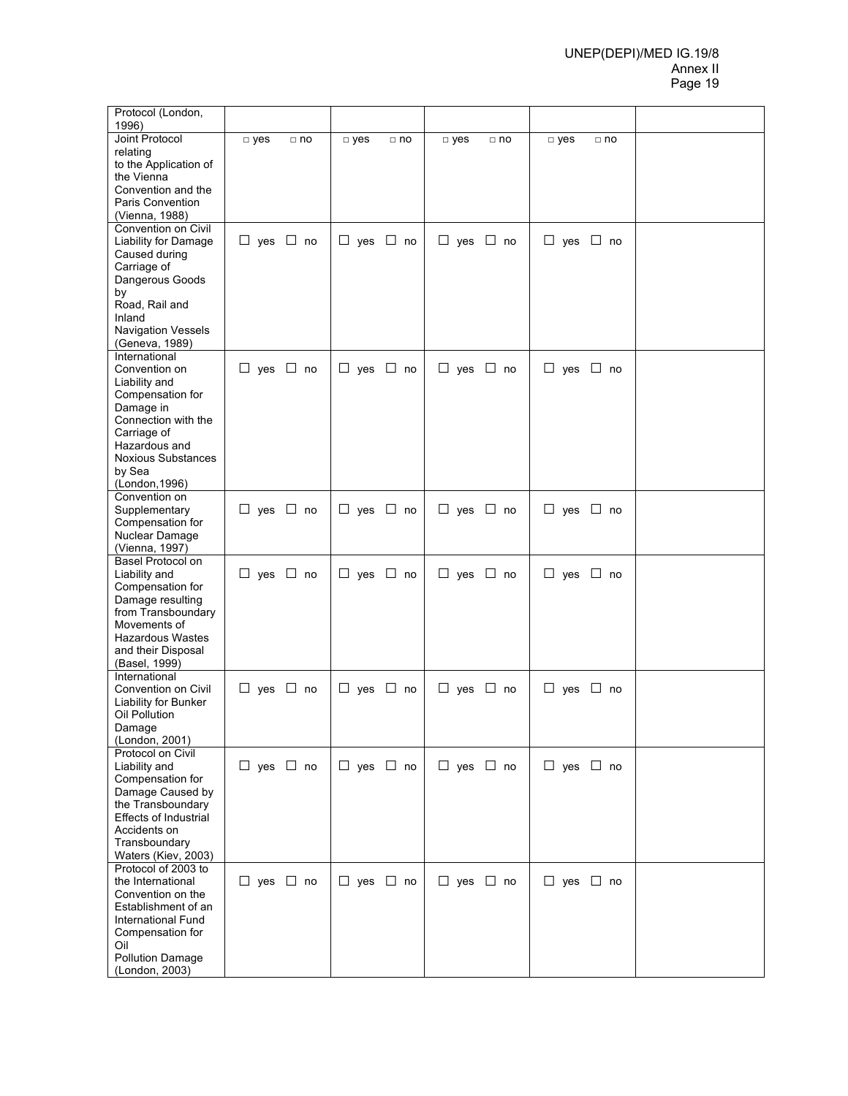#### UNEP(DEPI)/MED IG.19/8 Annex II Page 19

| Joint Protocol<br>$\neg$ yes<br>$\neg$ yes<br>$\neg$ yes<br>$\Box$ no<br>$\Box$ no<br>$\square$ yes<br>$\Box$ no<br>$\Box$ no<br>relating<br>to the Application of<br>the Vienna<br>Convention and the<br>Paris Convention<br>(Vienna, 1988)<br>Convention on Civil<br>$\Box$ yes $\Box$ no<br>$\Box$ yes $\Box$ no<br>$\Box$ yes $\Box$ no<br>$\Box$ yes $\Box$ no<br>Liability for Damage<br>Caused during<br>Carriage of<br>Dangerous Goods<br>by<br>Road, Rail and<br>Inland<br><b>Navigation Vessels</b><br>(Geneva, 1989)<br>International<br>$\Box$ yes $\Box$ no<br>$\Box$ yes $\Box$ no<br>$\Box$ yes $\Box$ no<br>$\Box$ yes $\Box$ no<br>Convention on<br>Liability and<br>Compensation for<br>Damage in<br>Connection with the<br>Carriage of<br>Hazardous and<br><b>Noxious Substances</b><br>by Sea<br>(London, 1996)<br>Convention on<br>Supplementary<br>$\Box$ yes $\Box$ no<br>$\Box$ yes $\Box$ no<br>$\Box$ yes $\Box$ no<br>$\Box$ yes $\Box$ no<br>Compensation for<br>Nuclear Damage<br>(Vienna, 1997)<br>Basel Protocol on<br>$\Box$ yes $\Box$ no<br>$\Box$ yes $\Box$ no<br>$\Box$ yes $\Box$ no<br>Liability and<br>$\Box$ yes $\Box$ no<br>Compensation for<br>Damage resulting<br>from Transboundary<br>Movements of<br><b>Hazardous Wastes</b><br>and their Disposal<br>(Basel, 1999)<br>International<br>$\Box$ yes $\Box$ no<br>$\Box$ yes $\Box$ no<br>$\Box$ yes $\Box$ no<br>Convention on Civil<br>$\Box$ yes $\Box$ no<br>Liability for Bunker<br>Oil Pollution<br>Damage<br>(London, 2001)<br>Protocol on Civil<br>$\Box$ yes $\Box$ no<br>$\Box$ yes $\Box$ no<br>$\Box$ yes $\Box$ no<br>$\Box$ yes $\Box$ no<br>Liability and<br>Compensation for<br>Damage Caused by<br>the Transboundary<br><b>Effects of Industrial</b><br>Accidents on<br>Transboundary<br>Waters (Kiev, 2003)<br>Protocol of 2003 to<br>$\Box$ yes $\Box$ no<br>$\Box$ yes $\Box$ no<br>$\Box$ yes $\Box$ no<br>the International<br>$\Box$ yes $\Box$ no<br>Convention on the<br>Establishment of an<br>International Fund<br>Compensation for<br>Oil<br><b>Pollution Damage</b> | Protocol (London,<br>1996) |  |  |  |  |  |
|-------------------------------------------------------------------------------------------------------------------------------------------------------------------------------------------------------------------------------------------------------------------------------------------------------------------------------------------------------------------------------------------------------------------------------------------------------------------------------------------------------------------------------------------------------------------------------------------------------------------------------------------------------------------------------------------------------------------------------------------------------------------------------------------------------------------------------------------------------------------------------------------------------------------------------------------------------------------------------------------------------------------------------------------------------------------------------------------------------------------------------------------------------------------------------------------------------------------------------------------------------------------------------------------------------------------------------------------------------------------------------------------------------------------------------------------------------------------------------------------------------------------------------------------------------------------------------------------------------------------------------------------------------------------------------------------------------------------------------------------------------------------------------------------------------------------------------------------------------------------------------------------------------------------------------------------------------------------------------------------------------------------------------------------------------------------------------------------------|----------------------------|--|--|--|--|--|
|                                                                                                                                                                                                                                                                                                                                                                                                                                                                                                                                                                                                                                                                                                                                                                                                                                                                                                                                                                                                                                                                                                                                                                                                                                                                                                                                                                                                                                                                                                                                                                                                                                                                                                                                                                                                                                                                                                                                                                                                                                                                                                 |                            |  |  |  |  |  |
|                                                                                                                                                                                                                                                                                                                                                                                                                                                                                                                                                                                                                                                                                                                                                                                                                                                                                                                                                                                                                                                                                                                                                                                                                                                                                                                                                                                                                                                                                                                                                                                                                                                                                                                                                                                                                                                                                                                                                                                                                                                                                                 |                            |  |  |  |  |  |
|                                                                                                                                                                                                                                                                                                                                                                                                                                                                                                                                                                                                                                                                                                                                                                                                                                                                                                                                                                                                                                                                                                                                                                                                                                                                                                                                                                                                                                                                                                                                                                                                                                                                                                                                                                                                                                                                                                                                                                                                                                                                                                 |                            |  |  |  |  |  |
|                                                                                                                                                                                                                                                                                                                                                                                                                                                                                                                                                                                                                                                                                                                                                                                                                                                                                                                                                                                                                                                                                                                                                                                                                                                                                                                                                                                                                                                                                                                                                                                                                                                                                                                                                                                                                                                                                                                                                                                                                                                                                                 |                            |  |  |  |  |  |
|                                                                                                                                                                                                                                                                                                                                                                                                                                                                                                                                                                                                                                                                                                                                                                                                                                                                                                                                                                                                                                                                                                                                                                                                                                                                                                                                                                                                                                                                                                                                                                                                                                                                                                                                                                                                                                                                                                                                                                                                                                                                                                 |                            |  |  |  |  |  |
|                                                                                                                                                                                                                                                                                                                                                                                                                                                                                                                                                                                                                                                                                                                                                                                                                                                                                                                                                                                                                                                                                                                                                                                                                                                                                                                                                                                                                                                                                                                                                                                                                                                                                                                                                                                                                                                                                                                                                                                                                                                                                                 |                            |  |  |  |  |  |
|                                                                                                                                                                                                                                                                                                                                                                                                                                                                                                                                                                                                                                                                                                                                                                                                                                                                                                                                                                                                                                                                                                                                                                                                                                                                                                                                                                                                                                                                                                                                                                                                                                                                                                                                                                                                                                                                                                                                                                                                                                                                                                 |                            |  |  |  |  |  |
|                                                                                                                                                                                                                                                                                                                                                                                                                                                                                                                                                                                                                                                                                                                                                                                                                                                                                                                                                                                                                                                                                                                                                                                                                                                                                                                                                                                                                                                                                                                                                                                                                                                                                                                                                                                                                                                                                                                                                                                                                                                                                                 |                            |  |  |  |  |  |
|                                                                                                                                                                                                                                                                                                                                                                                                                                                                                                                                                                                                                                                                                                                                                                                                                                                                                                                                                                                                                                                                                                                                                                                                                                                                                                                                                                                                                                                                                                                                                                                                                                                                                                                                                                                                                                                                                                                                                                                                                                                                                                 |                            |  |  |  |  |  |
|                                                                                                                                                                                                                                                                                                                                                                                                                                                                                                                                                                                                                                                                                                                                                                                                                                                                                                                                                                                                                                                                                                                                                                                                                                                                                                                                                                                                                                                                                                                                                                                                                                                                                                                                                                                                                                                                                                                                                                                                                                                                                                 |                            |  |  |  |  |  |
|                                                                                                                                                                                                                                                                                                                                                                                                                                                                                                                                                                                                                                                                                                                                                                                                                                                                                                                                                                                                                                                                                                                                                                                                                                                                                                                                                                                                                                                                                                                                                                                                                                                                                                                                                                                                                                                                                                                                                                                                                                                                                                 |                            |  |  |  |  |  |
|                                                                                                                                                                                                                                                                                                                                                                                                                                                                                                                                                                                                                                                                                                                                                                                                                                                                                                                                                                                                                                                                                                                                                                                                                                                                                                                                                                                                                                                                                                                                                                                                                                                                                                                                                                                                                                                                                                                                                                                                                                                                                                 |                            |  |  |  |  |  |
|                                                                                                                                                                                                                                                                                                                                                                                                                                                                                                                                                                                                                                                                                                                                                                                                                                                                                                                                                                                                                                                                                                                                                                                                                                                                                                                                                                                                                                                                                                                                                                                                                                                                                                                                                                                                                                                                                                                                                                                                                                                                                                 |                            |  |  |  |  |  |
|                                                                                                                                                                                                                                                                                                                                                                                                                                                                                                                                                                                                                                                                                                                                                                                                                                                                                                                                                                                                                                                                                                                                                                                                                                                                                                                                                                                                                                                                                                                                                                                                                                                                                                                                                                                                                                                                                                                                                                                                                                                                                                 |                            |  |  |  |  |  |
|                                                                                                                                                                                                                                                                                                                                                                                                                                                                                                                                                                                                                                                                                                                                                                                                                                                                                                                                                                                                                                                                                                                                                                                                                                                                                                                                                                                                                                                                                                                                                                                                                                                                                                                                                                                                                                                                                                                                                                                                                                                                                                 |                            |  |  |  |  |  |
|                                                                                                                                                                                                                                                                                                                                                                                                                                                                                                                                                                                                                                                                                                                                                                                                                                                                                                                                                                                                                                                                                                                                                                                                                                                                                                                                                                                                                                                                                                                                                                                                                                                                                                                                                                                                                                                                                                                                                                                                                                                                                                 |                            |  |  |  |  |  |
|                                                                                                                                                                                                                                                                                                                                                                                                                                                                                                                                                                                                                                                                                                                                                                                                                                                                                                                                                                                                                                                                                                                                                                                                                                                                                                                                                                                                                                                                                                                                                                                                                                                                                                                                                                                                                                                                                                                                                                                                                                                                                                 |                            |  |  |  |  |  |
|                                                                                                                                                                                                                                                                                                                                                                                                                                                                                                                                                                                                                                                                                                                                                                                                                                                                                                                                                                                                                                                                                                                                                                                                                                                                                                                                                                                                                                                                                                                                                                                                                                                                                                                                                                                                                                                                                                                                                                                                                                                                                                 |                            |  |  |  |  |  |
|                                                                                                                                                                                                                                                                                                                                                                                                                                                                                                                                                                                                                                                                                                                                                                                                                                                                                                                                                                                                                                                                                                                                                                                                                                                                                                                                                                                                                                                                                                                                                                                                                                                                                                                                                                                                                                                                                                                                                                                                                                                                                                 |                            |  |  |  |  |  |
|                                                                                                                                                                                                                                                                                                                                                                                                                                                                                                                                                                                                                                                                                                                                                                                                                                                                                                                                                                                                                                                                                                                                                                                                                                                                                                                                                                                                                                                                                                                                                                                                                                                                                                                                                                                                                                                                                                                                                                                                                                                                                                 |                            |  |  |  |  |  |
|                                                                                                                                                                                                                                                                                                                                                                                                                                                                                                                                                                                                                                                                                                                                                                                                                                                                                                                                                                                                                                                                                                                                                                                                                                                                                                                                                                                                                                                                                                                                                                                                                                                                                                                                                                                                                                                                                                                                                                                                                                                                                                 |                            |  |  |  |  |  |
|                                                                                                                                                                                                                                                                                                                                                                                                                                                                                                                                                                                                                                                                                                                                                                                                                                                                                                                                                                                                                                                                                                                                                                                                                                                                                                                                                                                                                                                                                                                                                                                                                                                                                                                                                                                                                                                                                                                                                                                                                                                                                                 |                            |  |  |  |  |  |
|                                                                                                                                                                                                                                                                                                                                                                                                                                                                                                                                                                                                                                                                                                                                                                                                                                                                                                                                                                                                                                                                                                                                                                                                                                                                                                                                                                                                                                                                                                                                                                                                                                                                                                                                                                                                                                                                                                                                                                                                                                                                                                 |                            |  |  |  |  |  |
|                                                                                                                                                                                                                                                                                                                                                                                                                                                                                                                                                                                                                                                                                                                                                                                                                                                                                                                                                                                                                                                                                                                                                                                                                                                                                                                                                                                                                                                                                                                                                                                                                                                                                                                                                                                                                                                                                                                                                                                                                                                                                                 |                            |  |  |  |  |  |
|                                                                                                                                                                                                                                                                                                                                                                                                                                                                                                                                                                                                                                                                                                                                                                                                                                                                                                                                                                                                                                                                                                                                                                                                                                                                                                                                                                                                                                                                                                                                                                                                                                                                                                                                                                                                                                                                                                                                                                                                                                                                                                 |                            |  |  |  |  |  |
|                                                                                                                                                                                                                                                                                                                                                                                                                                                                                                                                                                                                                                                                                                                                                                                                                                                                                                                                                                                                                                                                                                                                                                                                                                                                                                                                                                                                                                                                                                                                                                                                                                                                                                                                                                                                                                                                                                                                                                                                                                                                                                 |                            |  |  |  |  |  |
|                                                                                                                                                                                                                                                                                                                                                                                                                                                                                                                                                                                                                                                                                                                                                                                                                                                                                                                                                                                                                                                                                                                                                                                                                                                                                                                                                                                                                                                                                                                                                                                                                                                                                                                                                                                                                                                                                                                                                                                                                                                                                                 |                            |  |  |  |  |  |
|                                                                                                                                                                                                                                                                                                                                                                                                                                                                                                                                                                                                                                                                                                                                                                                                                                                                                                                                                                                                                                                                                                                                                                                                                                                                                                                                                                                                                                                                                                                                                                                                                                                                                                                                                                                                                                                                                                                                                                                                                                                                                                 |                            |  |  |  |  |  |
|                                                                                                                                                                                                                                                                                                                                                                                                                                                                                                                                                                                                                                                                                                                                                                                                                                                                                                                                                                                                                                                                                                                                                                                                                                                                                                                                                                                                                                                                                                                                                                                                                                                                                                                                                                                                                                                                                                                                                                                                                                                                                                 |                            |  |  |  |  |  |
|                                                                                                                                                                                                                                                                                                                                                                                                                                                                                                                                                                                                                                                                                                                                                                                                                                                                                                                                                                                                                                                                                                                                                                                                                                                                                                                                                                                                                                                                                                                                                                                                                                                                                                                                                                                                                                                                                                                                                                                                                                                                                                 |                            |  |  |  |  |  |
|                                                                                                                                                                                                                                                                                                                                                                                                                                                                                                                                                                                                                                                                                                                                                                                                                                                                                                                                                                                                                                                                                                                                                                                                                                                                                                                                                                                                                                                                                                                                                                                                                                                                                                                                                                                                                                                                                                                                                                                                                                                                                                 |                            |  |  |  |  |  |
|                                                                                                                                                                                                                                                                                                                                                                                                                                                                                                                                                                                                                                                                                                                                                                                                                                                                                                                                                                                                                                                                                                                                                                                                                                                                                                                                                                                                                                                                                                                                                                                                                                                                                                                                                                                                                                                                                                                                                                                                                                                                                                 |                            |  |  |  |  |  |
|                                                                                                                                                                                                                                                                                                                                                                                                                                                                                                                                                                                                                                                                                                                                                                                                                                                                                                                                                                                                                                                                                                                                                                                                                                                                                                                                                                                                                                                                                                                                                                                                                                                                                                                                                                                                                                                                                                                                                                                                                                                                                                 |                            |  |  |  |  |  |
|                                                                                                                                                                                                                                                                                                                                                                                                                                                                                                                                                                                                                                                                                                                                                                                                                                                                                                                                                                                                                                                                                                                                                                                                                                                                                                                                                                                                                                                                                                                                                                                                                                                                                                                                                                                                                                                                                                                                                                                                                                                                                                 |                            |  |  |  |  |  |
|                                                                                                                                                                                                                                                                                                                                                                                                                                                                                                                                                                                                                                                                                                                                                                                                                                                                                                                                                                                                                                                                                                                                                                                                                                                                                                                                                                                                                                                                                                                                                                                                                                                                                                                                                                                                                                                                                                                                                                                                                                                                                                 |                            |  |  |  |  |  |
|                                                                                                                                                                                                                                                                                                                                                                                                                                                                                                                                                                                                                                                                                                                                                                                                                                                                                                                                                                                                                                                                                                                                                                                                                                                                                                                                                                                                                                                                                                                                                                                                                                                                                                                                                                                                                                                                                                                                                                                                                                                                                                 |                            |  |  |  |  |  |
|                                                                                                                                                                                                                                                                                                                                                                                                                                                                                                                                                                                                                                                                                                                                                                                                                                                                                                                                                                                                                                                                                                                                                                                                                                                                                                                                                                                                                                                                                                                                                                                                                                                                                                                                                                                                                                                                                                                                                                                                                                                                                                 |                            |  |  |  |  |  |
|                                                                                                                                                                                                                                                                                                                                                                                                                                                                                                                                                                                                                                                                                                                                                                                                                                                                                                                                                                                                                                                                                                                                                                                                                                                                                                                                                                                                                                                                                                                                                                                                                                                                                                                                                                                                                                                                                                                                                                                                                                                                                                 |                            |  |  |  |  |  |
|                                                                                                                                                                                                                                                                                                                                                                                                                                                                                                                                                                                                                                                                                                                                                                                                                                                                                                                                                                                                                                                                                                                                                                                                                                                                                                                                                                                                                                                                                                                                                                                                                                                                                                                                                                                                                                                                                                                                                                                                                                                                                                 |                            |  |  |  |  |  |
|                                                                                                                                                                                                                                                                                                                                                                                                                                                                                                                                                                                                                                                                                                                                                                                                                                                                                                                                                                                                                                                                                                                                                                                                                                                                                                                                                                                                                                                                                                                                                                                                                                                                                                                                                                                                                                                                                                                                                                                                                                                                                                 |                            |  |  |  |  |  |
|                                                                                                                                                                                                                                                                                                                                                                                                                                                                                                                                                                                                                                                                                                                                                                                                                                                                                                                                                                                                                                                                                                                                                                                                                                                                                                                                                                                                                                                                                                                                                                                                                                                                                                                                                                                                                                                                                                                                                                                                                                                                                                 |                            |  |  |  |  |  |
|                                                                                                                                                                                                                                                                                                                                                                                                                                                                                                                                                                                                                                                                                                                                                                                                                                                                                                                                                                                                                                                                                                                                                                                                                                                                                                                                                                                                                                                                                                                                                                                                                                                                                                                                                                                                                                                                                                                                                                                                                                                                                                 |                            |  |  |  |  |  |
|                                                                                                                                                                                                                                                                                                                                                                                                                                                                                                                                                                                                                                                                                                                                                                                                                                                                                                                                                                                                                                                                                                                                                                                                                                                                                                                                                                                                                                                                                                                                                                                                                                                                                                                                                                                                                                                                                                                                                                                                                                                                                                 |                            |  |  |  |  |  |
|                                                                                                                                                                                                                                                                                                                                                                                                                                                                                                                                                                                                                                                                                                                                                                                                                                                                                                                                                                                                                                                                                                                                                                                                                                                                                                                                                                                                                                                                                                                                                                                                                                                                                                                                                                                                                                                                                                                                                                                                                                                                                                 |                            |  |  |  |  |  |
|                                                                                                                                                                                                                                                                                                                                                                                                                                                                                                                                                                                                                                                                                                                                                                                                                                                                                                                                                                                                                                                                                                                                                                                                                                                                                                                                                                                                                                                                                                                                                                                                                                                                                                                                                                                                                                                                                                                                                                                                                                                                                                 |                            |  |  |  |  |  |
|                                                                                                                                                                                                                                                                                                                                                                                                                                                                                                                                                                                                                                                                                                                                                                                                                                                                                                                                                                                                                                                                                                                                                                                                                                                                                                                                                                                                                                                                                                                                                                                                                                                                                                                                                                                                                                                                                                                                                                                                                                                                                                 |                            |  |  |  |  |  |
|                                                                                                                                                                                                                                                                                                                                                                                                                                                                                                                                                                                                                                                                                                                                                                                                                                                                                                                                                                                                                                                                                                                                                                                                                                                                                                                                                                                                                                                                                                                                                                                                                                                                                                                                                                                                                                                                                                                                                                                                                                                                                                 |                            |  |  |  |  |  |
|                                                                                                                                                                                                                                                                                                                                                                                                                                                                                                                                                                                                                                                                                                                                                                                                                                                                                                                                                                                                                                                                                                                                                                                                                                                                                                                                                                                                                                                                                                                                                                                                                                                                                                                                                                                                                                                                                                                                                                                                                                                                                                 |                            |  |  |  |  |  |
|                                                                                                                                                                                                                                                                                                                                                                                                                                                                                                                                                                                                                                                                                                                                                                                                                                                                                                                                                                                                                                                                                                                                                                                                                                                                                                                                                                                                                                                                                                                                                                                                                                                                                                                                                                                                                                                                                                                                                                                                                                                                                                 |                            |  |  |  |  |  |
|                                                                                                                                                                                                                                                                                                                                                                                                                                                                                                                                                                                                                                                                                                                                                                                                                                                                                                                                                                                                                                                                                                                                                                                                                                                                                                                                                                                                                                                                                                                                                                                                                                                                                                                                                                                                                                                                                                                                                                                                                                                                                                 |                            |  |  |  |  |  |
|                                                                                                                                                                                                                                                                                                                                                                                                                                                                                                                                                                                                                                                                                                                                                                                                                                                                                                                                                                                                                                                                                                                                                                                                                                                                                                                                                                                                                                                                                                                                                                                                                                                                                                                                                                                                                                                                                                                                                                                                                                                                                                 |                            |  |  |  |  |  |
|                                                                                                                                                                                                                                                                                                                                                                                                                                                                                                                                                                                                                                                                                                                                                                                                                                                                                                                                                                                                                                                                                                                                                                                                                                                                                                                                                                                                                                                                                                                                                                                                                                                                                                                                                                                                                                                                                                                                                                                                                                                                                                 | (London, 2003)             |  |  |  |  |  |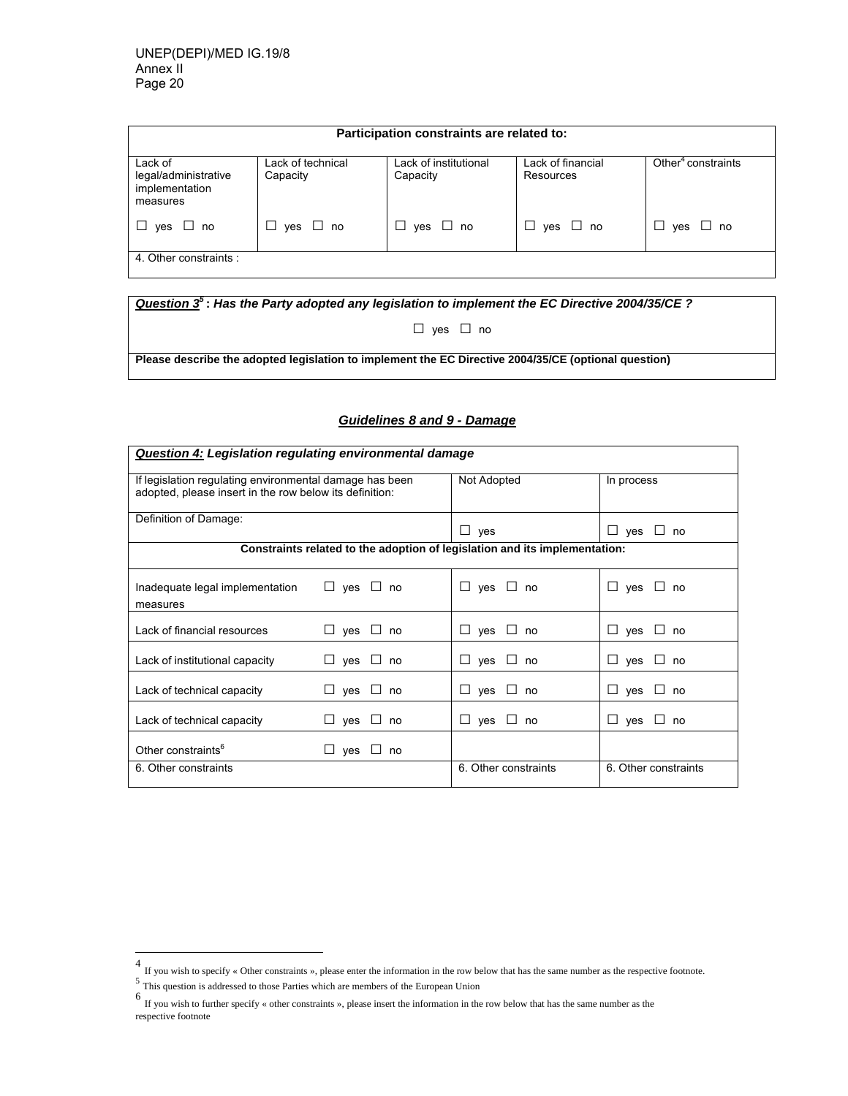| Participation constraints are related to:                     |                               |                                   |                                |                                |  |  |  |
|---------------------------------------------------------------|-------------------------------|-----------------------------------|--------------------------------|--------------------------------|--|--|--|
| Lack of<br>legal/administrative<br>implementation<br>measures | Lack of technical<br>Capacity | Lack of institutional<br>Capacity | Lack of financial<br>Resources | Other <sup>4</sup> constraints |  |  |  |
| yes □ no<br>$\Box$                                            | yes □ no                      | $\Box$ yes $\Box$ no              | $\Box$ yes $\Box$ no           | yes □ no<br>ப                  |  |  |  |
| 4. Other constraints :                                        |                               |                                   |                                |                                |  |  |  |

*Question 3<sup>5</sup>* **:** *Has the Party adopted any legislation to implement the EC Directive 2004/35/CE ?*  □ yes □ no

**Please describe the adopted legislation to implement the EC Directive 2004/35/CE (optional question)** 

# *Guidelines 8 and 9 - Damage*

| Question 4: Legislation regulating environmental damage                                                            |                          |                                                                            |                         |  |  |  |
|--------------------------------------------------------------------------------------------------------------------|--------------------------|----------------------------------------------------------------------------|-------------------------|--|--|--|
| If legislation regulating environmental damage has been<br>adopted, please insert in the row below its definition: |                          | Not Adopted                                                                | In process              |  |  |  |
| Definition of Damage:                                                                                              |                          | $\Box$ yes                                                                 | $\Box$ yes $\Box$<br>no |  |  |  |
|                                                                                                                    |                          | Constraints related to the adoption of legislation and its implementation: |                         |  |  |  |
| Inadequate legal implementation<br>measures                                                                        | $\Box$ yes $\Box$ no     | $\Box$ yes $\Box$ no                                                       | $\Box$ yes $\Box$ no    |  |  |  |
| Lack of financial resources                                                                                        | $\Box$ yes $\Box$ no     | $\Box$ yes $\Box$ no                                                       | $\Box$ yes $\Box$ no    |  |  |  |
| Lack of institutional capacity                                                                                     | $\Box$ yes $\Box$ no     | $\Box$ yes $\Box$ no                                                       | $\Box$ yes $\Box$<br>no |  |  |  |
| Lack of technical capacity                                                                                         | $\Box$ yes $\Box$ no     | $\Box$ yes $\Box$ no                                                       | $\Box$ ves<br>no        |  |  |  |
| Lack of technical capacity                                                                                         | $\Box$ yes<br>$\Box$ no  | $\sqcup$ yes $\sqcup$<br>no                                                | $\Box$ ves<br>no        |  |  |  |
| Other constraints <sup>6</sup>                                                                                     | $\sqcup$ yes $\sqcup$ no |                                                                            |                         |  |  |  |
| 6. Other constraints                                                                                               |                          | 6. Other constraints                                                       | 6. Other constraints    |  |  |  |

<sup>&</sup>lt;sup>4</sup> If you wish to specify « Other constraints », please enter the information in the row below that has the same number as the respective footnote.<br><sup>5</sup> This question is addressed to those Parties which are members of the

respective footnote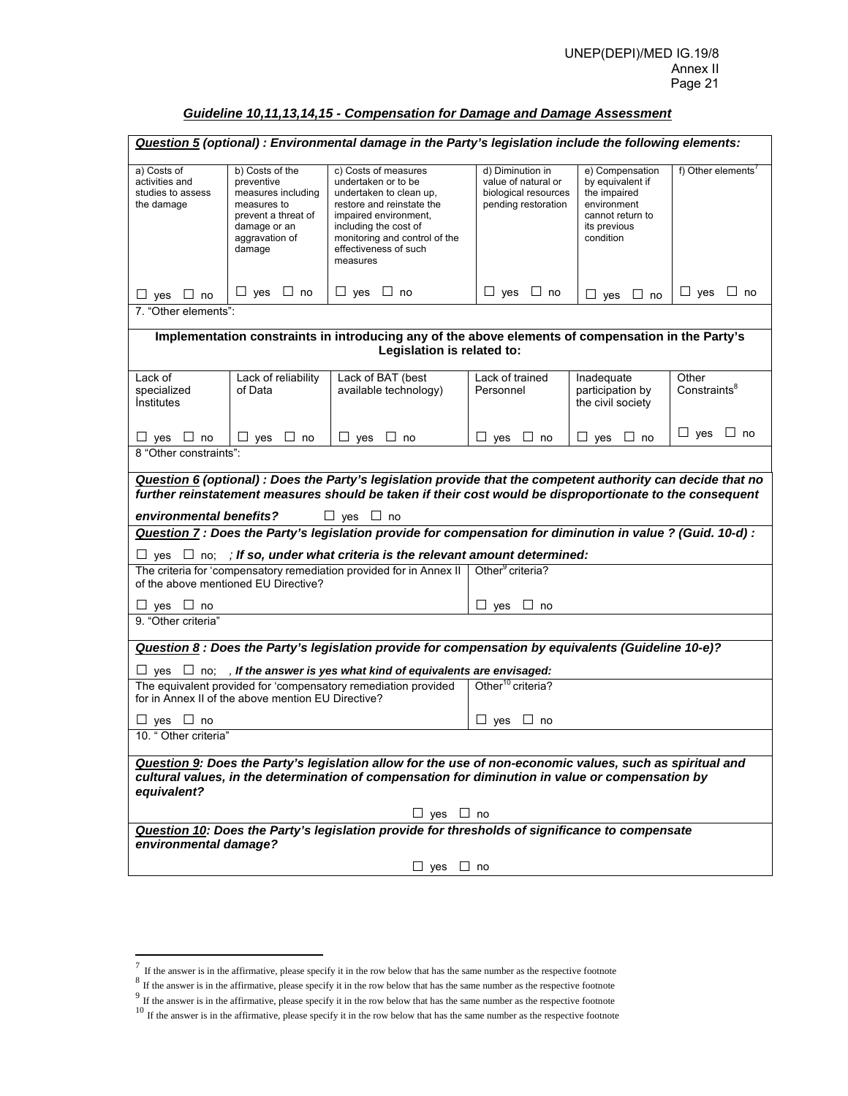# *Guideline 10,11,13,14,15 - Compensation for Damage and Damage Assessment*

|                                                                                                                                                                                                                             |                                                                                                                                       | Question 5 (optional) : Environmental damage in the Party's legislation include the following elements:                                                                                                                     |                                                                                        |                                                                                                                     |                                   |  |
|-----------------------------------------------------------------------------------------------------------------------------------------------------------------------------------------------------------------------------|---------------------------------------------------------------------------------------------------------------------------------------|-----------------------------------------------------------------------------------------------------------------------------------------------------------------------------------------------------------------------------|----------------------------------------------------------------------------------------|---------------------------------------------------------------------------------------------------------------------|-----------------------------------|--|
| a) Costs of<br>activities and<br>studies to assess<br>the damage                                                                                                                                                            | b) Costs of the<br>preventive<br>measures including<br>measures to<br>prevent a threat of<br>damage or an<br>aggravation of<br>damage | c) Costs of measures<br>undertaken or to be<br>undertaken to clean up,<br>restore and reinstate the<br>impaired environment,<br>including the cost of<br>monitoring and control of the<br>effectiveness of such<br>measures | d) Diminution in<br>value of natural or<br>biological resources<br>pending restoration | e) Compensation<br>by equivalent if<br>the impaired<br>environment<br>cannot return to<br>its previous<br>condition | f) Other elements <sup>7</sup>    |  |
| $\Box$ yes $\Box$ no                                                                                                                                                                                                        | $\Box$ yes $\Box$ no                                                                                                                  | $\Box$ yes $\Box$ no                                                                                                                                                                                                        | $\Box$ yes $\Box$ no                                                                   | $\Box$ yes $\Box$ no                                                                                                | $\Box$ yes $\Box$ no              |  |
| 7. "Other elements":                                                                                                                                                                                                        |                                                                                                                                       |                                                                                                                                                                                                                             |                                                                                        |                                                                                                                     |                                   |  |
|                                                                                                                                                                                                                             |                                                                                                                                       | Implementation constraints in introducing any of the above elements of compensation in the Party's                                                                                                                          |                                                                                        |                                                                                                                     |                                   |  |
|                                                                                                                                                                                                                             |                                                                                                                                       | Legislation is related to:                                                                                                                                                                                                  |                                                                                        |                                                                                                                     |                                   |  |
| Lack of<br>specialized<br><i><u><b>Institutes</b></u></i>                                                                                                                                                                   | Lack of reliability<br>of Data                                                                                                        | Lack of BAT (best<br>available technology)                                                                                                                                                                                  | Lack of trained<br>Personnel                                                           | Inadequate<br>participation by<br>the civil society                                                                 | Other<br>Constraints <sup>8</sup> |  |
| $\Box$ yes $\Box$ no                                                                                                                                                                                                        | $\Box$ yes $\Box$ no                                                                                                                  | $\Box$ yes $\Box$ no                                                                                                                                                                                                        | $\Box$ yes $\Box$ no                                                                   | $\Box$ yes $\Box$ no                                                                                                | $\Box$ yes $\Box$ no              |  |
| 8 "Other constraints":                                                                                                                                                                                                      |                                                                                                                                       |                                                                                                                                                                                                                             |                                                                                        |                                                                                                                     |                                   |  |
|                                                                                                                                                                                                                             |                                                                                                                                       | Question 6 (optional) : Does the Party's legislation provide that the competent authority can decide that no                                                                                                                |                                                                                        |                                                                                                                     |                                   |  |
|                                                                                                                                                                                                                             |                                                                                                                                       | further reinstatement measures should be taken if their cost would be disproportionate to the consequent                                                                                                                    |                                                                                        |                                                                                                                     |                                   |  |
| environmental benefits?                                                                                                                                                                                                     |                                                                                                                                       | $\Box$ yes $\Box$ no                                                                                                                                                                                                        |                                                                                        |                                                                                                                     |                                   |  |
|                                                                                                                                                                                                                             |                                                                                                                                       | Question 7 : Does the Party's legislation provide for compensation for diminution in value ? (Guid. 10-d) :                                                                                                                 |                                                                                        |                                                                                                                     |                                   |  |
|                                                                                                                                                                                                                             |                                                                                                                                       | $\Box$ yes $\Box$ no; ; if so, under what criteria is the relevant amount determined:                                                                                                                                       |                                                                                        |                                                                                                                     |                                   |  |
|                                                                                                                                                                                                                             | of the above mentioned EU Directive?                                                                                                  | The criteria for 'compensatory remediation provided for in Annex II                                                                                                                                                         | Other <sup>9</sup> criteria?                                                           |                                                                                                                     |                                   |  |
| $\Box$ yes $\Box$ no                                                                                                                                                                                                        |                                                                                                                                       |                                                                                                                                                                                                                             | $\Box$ yes $\Box$ no                                                                   |                                                                                                                     |                                   |  |
| 9. "Other criteria"                                                                                                                                                                                                         |                                                                                                                                       |                                                                                                                                                                                                                             |                                                                                        |                                                                                                                     |                                   |  |
|                                                                                                                                                                                                                             |                                                                                                                                       | Question 8 : Does the Party's legislation provide for compensation by equivalents (Guideline 10-e)?                                                                                                                         |                                                                                        |                                                                                                                     |                                   |  |
|                                                                                                                                                                                                                             |                                                                                                                                       | $\Box$ yes $\Box$ no; , If the answer is yes what kind of equivalents are envisaged:                                                                                                                                        |                                                                                        |                                                                                                                     |                                   |  |
|                                                                                                                                                                                                                             | for in Annex II of the above mention EU Directive?                                                                                    | The equivalent provided for 'compensatory remediation provided                                                                                                                                                              | Other <sup>10</sup> criteria?                                                          |                                                                                                                     |                                   |  |
| $\Box$ yes $\Box$ no                                                                                                                                                                                                        |                                                                                                                                       |                                                                                                                                                                                                                             | $\sqcup$ yes<br>⊔ no                                                                   |                                                                                                                     |                                   |  |
| 10. " Other criteria"                                                                                                                                                                                                       |                                                                                                                                       |                                                                                                                                                                                                                             |                                                                                        |                                                                                                                     |                                   |  |
| Question 9: Does the Party's legislation allow for the use of non-economic values, such as spiritual and<br>cultural values, in the determination of compensation for diminution in value or compensation by<br>equivalent? |                                                                                                                                       |                                                                                                                                                                                                                             |                                                                                        |                                                                                                                     |                                   |  |
|                                                                                                                                                                                                                             |                                                                                                                                       | $\Box$ yes $\Box$ no                                                                                                                                                                                                        |                                                                                        |                                                                                                                     |                                   |  |
|                                                                                                                                                                                                                             |                                                                                                                                       | Question 10: Does the Party's legislation provide for thresholds of significance to compensate                                                                                                                              |                                                                                        |                                                                                                                     |                                   |  |
| environmental damage?                                                                                                                                                                                                       |                                                                                                                                       |                                                                                                                                                                                                                             |                                                                                        |                                                                                                                     |                                   |  |
|                                                                                                                                                                                                                             |                                                                                                                                       | $\Box$ yes $\Box$ no                                                                                                                                                                                                        |                                                                                        |                                                                                                                     |                                   |  |

 $\overline{a}$ 

 $<sup>7</sup>$  If the answer is in the affirmative, please specify it in the row below that has the same number as the respective footnote</sup>

 $8\,$  If the answer is in the affirmative, please specify it in the row below that has the same number as the respective footnote

 $9<sup>9</sup>$  If the answer is in the affirmative, please specify it in the row below that has the same number as the respective footnote

<sup>&</sup>lt;sup>10</sup> If the answer is in the affirmative, please specify it in the row below that has the same number as the respective footnote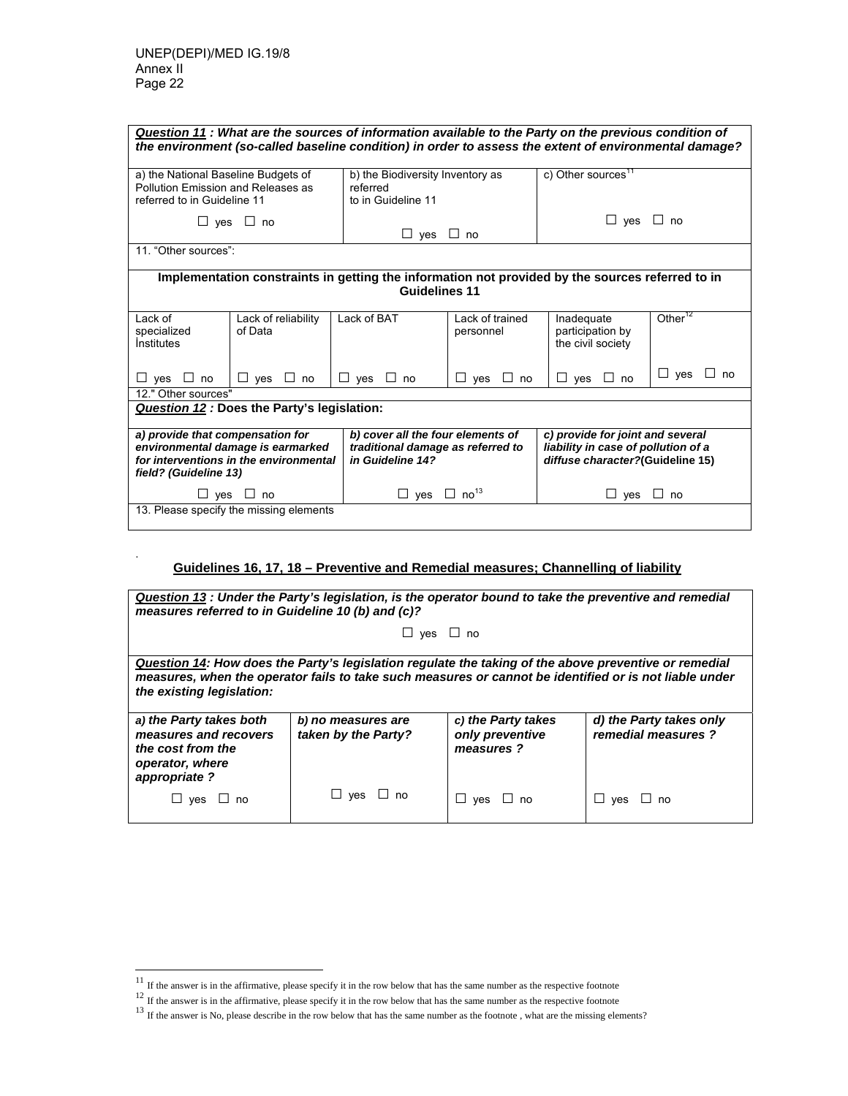.

l

| Question 11: What are the sources of information available to the Party on the previous condition of<br>the environment (so-called baseline condition) in order to assess the extent of environmental damage?                                                                                                                                         |                                                                     |                                    |                              |                      |                     |  |  |
|-------------------------------------------------------------------------------------------------------------------------------------------------------------------------------------------------------------------------------------------------------------------------------------------------------------------------------------------------------|---------------------------------------------------------------------|------------------------------------|------------------------------|----------------------|---------------------|--|--|
| c) Other sources <sup>11</sup><br>a) the National Baseline Budgets of<br>b) the Biodiversity Inventory as<br>Pollution Emission and Releases as<br>referred<br>referred to in Guideline 11<br>to in Guideline 11                                                                                                                                      |                                                                     |                                    |                              |                      |                     |  |  |
| $\Box$ yes $\Box$ no<br>$\Box$ yes $\Box$ no<br>$\Box$ yes $\Box$ no                                                                                                                                                                                                                                                                                  |                                                                     |                                    |                              |                      |                     |  |  |
| 11 "Other sources":                                                                                                                                                                                                                                                                                                                                   |                                                                     |                                    |                              |                      |                     |  |  |
| Implementation constraints in getting the information not provided by the sources referred to in<br><b>Guidelines 11</b>                                                                                                                                                                                                                              |                                                                     |                                    |                              |                      |                     |  |  |
| Lack of<br>specialized<br><i><u><b>Institutes</b></u></i>                                                                                                                                                                                                                                                                                             | Lack of reliability<br>of Data                                      | Lack of BAT                        | Lack of trained<br>personnel |                      | Other <sup>12</sup> |  |  |
| $\Box$ no<br>$\Box$ ves                                                                                                                                                                                                                                                                                                                               | $\Box$ yes $\Box$ no                                                | $\Box$ yes $\Box$ no               | $\Box$ ves<br>$\perp$<br>no  | $\Box$ yes $\Box$ no | $\Box$ yes<br>no.   |  |  |
| 12." Other sources"                                                                                                                                                                                                                                                                                                                                   | <b>Question 12: Does the Party's legislation:</b>                   |                                    |                              |                      |                     |  |  |
| b) cover all the four elements of<br>c) provide for joint and several<br>a) provide that compensation for<br>environmental damage is earmarked<br>liability in case of pollution of a<br>traditional damage as referred to<br>for interventions in the environmental<br>in Guideline 14?<br>diffuse character?(Guideline 15)<br>field? (Guideline 13) |                                                                     |                                    |                              |                      |                     |  |  |
|                                                                                                                                                                                                                                                                                                                                                       | $\sqcup$ yes $\sqcup$ no<br>13. Please specify the missing elements | $\Box$ yes $\Box$ no <sup>13</sup> |                              | $\Box$ yes           | no                  |  |  |

# **Guidelines 16, 17, 18 – Preventive and Remedial measures; Channelling of liability**

| Question 13 : Under the Party's legislation, is the operator bound to take the preventive and remedial<br>measures referred to in Guideline 10 (b) and (c)?                                                                                  |                                           |                                                    |                                               |  |  |  |  |
|----------------------------------------------------------------------------------------------------------------------------------------------------------------------------------------------------------------------------------------------|-------------------------------------------|----------------------------------------------------|-----------------------------------------------|--|--|--|--|
|                                                                                                                                                                                                                                              | $\Box$ yes $\Box$ no                      |                                                    |                                               |  |  |  |  |
| Question 14: How does the Party's legislation regulate the taking of the above preventive or remedial<br>measures, when the operator fails to take such measures or cannot be identified or is not liable under<br>the existing legislation: |                                           |                                                    |                                               |  |  |  |  |
| a) the Party takes both<br>measures and recovers<br>the cost from the<br>operator, where<br>appropriate?                                                                                                                                     | b) no measures are<br>taken by the Party? | c) the Party takes<br>only preventive<br>measures? | d) the Party takes only<br>remedial measures? |  |  |  |  |
| ves<br>no                                                                                                                                                                                                                                    | $\sqcup$ ves<br>∟ no                      | yes                                                | ves                                           |  |  |  |  |

 $11$  If the answer is in the affirmative, please specify it in the row below that has the same number as the respective footnote

 $12$  If the answer is in the affirmative, please specify it in the row below that has the same number as the respective footnote

<sup>&</sup>lt;sup>13</sup> If the answer is No, please describe in the row below that has the same number as the footnote, what are the missing elements?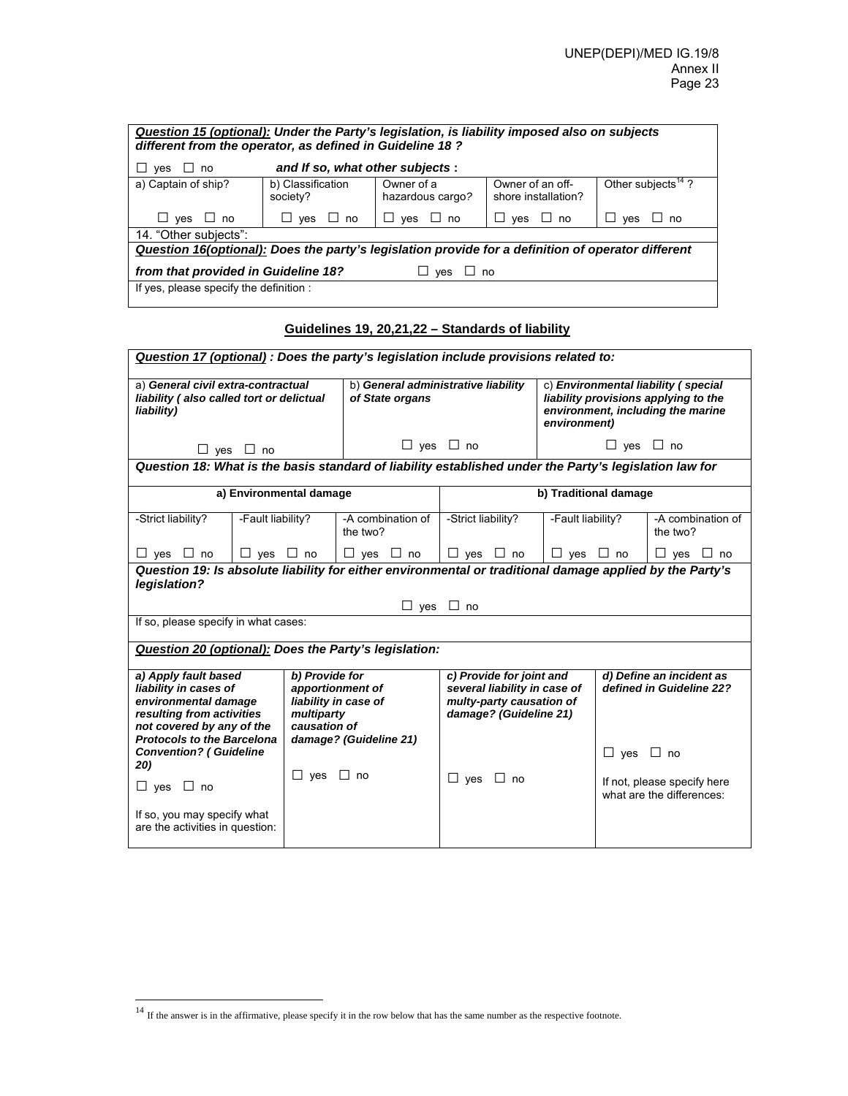| Question 15 (optional): Under the Party's legislation, is liability imposed also on subjects<br>different from the operator, as defined in Guideline 18 ? |                               |                                |                                         |                                |  |  |  |
|-----------------------------------------------------------------------------------------------------------------------------------------------------------|-------------------------------|--------------------------------|-----------------------------------------|--------------------------------|--|--|--|
| and If so, what other subjects:<br>$\Box$ no<br>ves                                                                                                       |                               |                                |                                         |                                |  |  |  |
| a) Captain of ship?                                                                                                                                       | b) Classification<br>society? | Owner of a<br>hazardous cargo? | Owner of an off-<br>shore installation? | Other subjects <sup>14</sup> ? |  |  |  |
| $\Box$ yes $\Box$ no                                                                                                                                      | ves<br>no<br>ш<br>ப           | ves<br>no<br>⊔<br>$\perp$      | yes<br>no<br>$\perp$                    | yes<br>no                      |  |  |  |
| 14. "Other subjects":                                                                                                                                     |                               |                                |                                         |                                |  |  |  |
| Question 16(optional): Does the party's legislation provide for a definition of operator different                                                        |                               |                                |                                         |                                |  |  |  |
| from that provided in Guideline 18?<br>$\sqcup$ no<br>ves                                                                                                 |                               |                                |                                         |                                |  |  |  |
| If yes, please specify the definition :                                                                                                                   |                               |                                |                                         |                                |  |  |  |

# **Guidelines 19, 20,21,22 – Standards of liability**

|                                                                                                                                                                      |                            | Question 17 (optional) : Does the party's legislation include provisions related to:                                                                                                                   |                                     |                                                      |                      |                                                                                                                  |
|----------------------------------------------------------------------------------------------------------------------------------------------------------------------|----------------------------|--------------------------------------------------------------------------------------------------------------------------------------------------------------------------------------------------------|-------------------------------------|------------------------------------------------------|----------------------|------------------------------------------------------------------------------------------------------------------|
| a) General civil extra-contractual<br>liability (also called tort or delictual<br>liability)                                                                         |                            | of State organs                                                                                                                                                                                        | b) General administrative liability | environment)                                         |                      | c) Environmental liability (special<br>liability provisions applying to the<br>environment, including the marine |
|                                                                                                                                                                      | $\Box$ yes $\Box$ no       |                                                                                                                                                                                                        | $\Box$ yes $\Box$ no                |                                                      | $\Box$ yes $\Box$ no |                                                                                                                  |
|                                                                                                                                                                      |                            | Question 18: What is the basis standard of liability established under the Party's legislation law for                                                                                                 |                                     |                                                      |                      |                                                                                                                  |
|                                                                                                                                                                      | a) Environmental damage    |                                                                                                                                                                                                        |                                     | b) Traditional damage                                |                      |                                                                                                                  |
| -Strict liability?                                                                                                                                                   | -Fault liability?          | -A combination of<br>the two?                                                                                                                                                                          | -Strict liability?                  | -Fault liability?                                    |                      | -A combination of<br>the two?                                                                                    |
| $\Box$ yes $\Box$ no                                                                                                                                                 | $\Box$ yes $\Box$ no       | $\Box$ yes $\Box$ no                                                                                                                                                                                   | $\Box$ yes $\Box$ no                | $\Box$ yes $\Box$ no                                 |                      | $\Box$ yes $\Box$ no                                                                                             |
| legislation?                                                                                                                                                         |                            | Question 19: Is absolute liability for either environmental or traditional damage applied by the Party's                                                                                               |                                     |                                                      |                      |                                                                                                                  |
|                                                                                                                                                                      |                            |                                                                                                                                                                                                        | $\Box$ yes $\Box$ no                |                                                      |                      |                                                                                                                  |
| If so, please specify in what cases:                                                                                                                                 |                            |                                                                                                                                                                                                        |                                     |                                                      |                      |                                                                                                                  |
|                                                                                                                                                                      |                            | Question 20 (optional): Does the Party's legislation:                                                                                                                                                  |                                     |                                                      |                      |                                                                                                                  |
| a) Apply fault based<br>liability in cases of<br>environmental damage<br>resulting from activities<br>not covered by any of the<br><b>Protocols to the Barcelona</b> | multiparty<br>causation of | b) Provide for<br>c) Provide for joint and<br>several liability in case of<br>apportionment of<br>liability in case of<br>multy-party causation of<br>damage? (Guideline 21)<br>damage? (Guideline 21) |                                     | d) Define an incident as<br>defined in Guideline 22? |                      |                                                                                                                  |
| <b>Convention? (Guideline</b><br>20)<br>$\Box$ yes $\Box$ no<br>If so, you may specify what<br>are the activities in question:                                       | □<br>ves                   | $\Box$ no                                                                                                                                                                                              | □<br>ves<br>$\Box$ no               |                                                      | $\Box$ yes $\Box$ no | If not, please specify here<br>what are the differences:                                                         |

l

<sup>&</sup>lt;sup>14</sup> If the answer is in the affirmative, please specify it in the row below that has the same number as the respective footnote.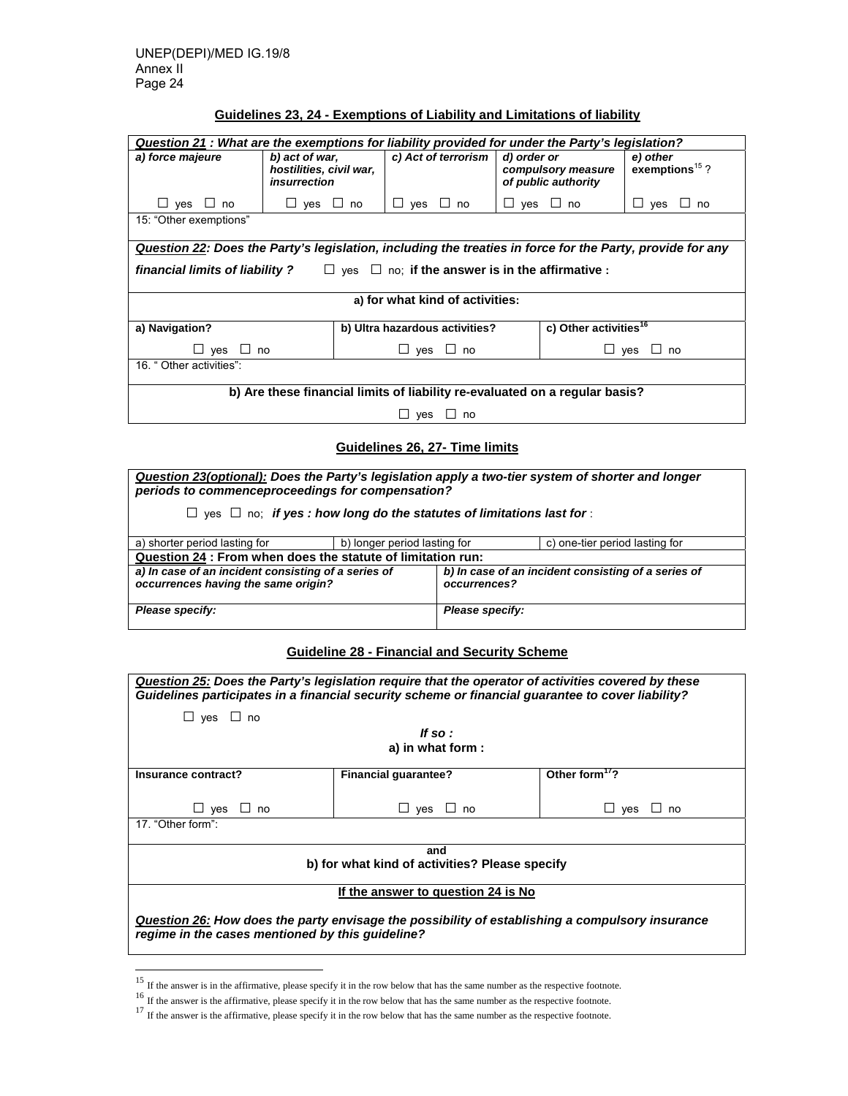# **Guidelines 23, 24 - Exemptions of Liability and Limitations of liability**

| Question 21 : What are the exemptions for liability provided for under the Party's legislation?           |                                                                                                                                                                               |                                |                                   |                      |  |  |  |
|-----------------------------------------------------------------------------------------------------------|-------------------------------------------------------------------------------------------------------------------------------------------------------------------------------|--------------------------------|-----------------------------------|----------------------|--|--|--|
| a) force majeure                                                                                          | c) Act of terrorism<br>b) act of war,<br>d) order or<br>e) other<br>exemptions $15$ ?<br>hostilities, civil war,<br>compulsory measure<br>insurrection<br>of public authority |                                |                                   |                      |  |  |  |
| $ves \Box$ no                                                                                             | $\Box$ yes $\Box$ no                                                                                                                                                          | $\sqcup$ ves<br>$\sqcup$ no    | $ves \Box$ no<br>⊔                | $\sqcup$ ves<br>∟ no |  |  |  |
| 15: "Other exemptions"                                                                                    |                                                                                                                                                                               |                                |                                   |                      |  |  |  |
| Question 22: Does the Party's legislation, including the treaties in force for the Party, provide for any |                                                                                                                                                                               |                                |                                   |                      |  |  |  |
| financial limits of liability ? $\square$ yes $\square$ no: if the answer is in the affirmative :         |                                                                                                                                                                               |                                |                                   |                      |  |  |  |
| a) for what kind of activities:                                                                           |                                                                                                                                                                               |                                |                                   |                      |  |  |  |
| a) Navigation?                                                                                            |                                                                                                                                                                               | b) Ultra hazardous activities? | c) Other activities <sup>16</sup> |                      |  |  |  |
| $\sqcup$ yes $\sqcup$ no<br>$\sqcup$ yes $\sqcup$ no<br>$\sqcup$ yes<br>∟l no                             |                                                                                                                                                                               |                                |                                   |                      |  |  |  |
| 16 " Other activities":                                                                                   |                                                                                                                                                                               |                                |                                   |                      |  |  |  |
| b) Are these financial limits of liability re-evaluated on a regular basis?                               |                                                                                                                                                                               |                                |                                   |                      |  |  |  |
|                                                                                                           |                                                                                                                                                                               | $ves \Box$ no                  |                                   |                      |  |  |  |

**Guidelines 26, 27- Time limits**

*Question 23(optional): Does the Party's legislation apply a two-tier system of shorter and longer periods to commenceproceedings for compensation?* 

□ yes □ no; *if yes : how long do the statutes of limitations last for* :

| a) shorter period lasting for                               | b) longer period lasting for |                                                     | c) one-tier period lasting for |
|-------------------------------------------------------------|------------------------------|-----------------------------------------------------|--------------------------------|
| Question 24 : From when does the statute of limitation run: |                              |                                                     |                                |
| a) In case of an incident consisting of a series of         |                              | b) In case of an incident consisting of a series of |                                |
| occurrences having the same origin?                         |                              | occurrences?                                        |                                |
|                                                             |                              |                                                     |                                |
| Please specify:                                             |                              | Please specify:                                     |                                |
|                                                             |                              |                                                     |                                |

#### **Guideline 28 - Financial and Security Scheme**

|                                                       | Question 25: Does the Party's legislation require that the operator of activities covered by these<br>Guidelines participates in a financial security scheme or financial quarantee to cover liability? |                            |  |
|-------------------------------------------------------|---------------------------------------------------------------------------------------------------------------------------------------------------------------------------------------------------------|----------------------------|--|
| $\Box$ yes $\Box$ no                                  |                                                                                                                                                                                                         |                            |  |
|                                                       | If so :                                                                                                                                                                                                 |                            |  |
|                                                       | a) in what form :                                                                                                                                                                                       |                            |  |
| Insurance contract?                                   | <b>Financial guarantee?</b>                                                                                                                                                                             | Other form <sup>17</sup> ? |  |
|                                                       |                                                                                                                                                                                                         |                            |  |
| $\sqcup$ yes $\sqcup$ no                              | $\sqcup$ yes<br>$\sqcup$ no                                                                                                                                                                             | $\sqcup$ ves<br>∩ Li       |  |
| 17. "Other form":                                     |                                                                                                                                                                                                         |                            |  |
| and<br>b) for what kind of activities? Please specify |                                                                                                                                                                                                         |                            |  |
|                                                       | If the answer to question 24 is No.                                                                                                                                                                     |                            |  |
| regime in the cases mentioned by this quideline?      | Question 26: How does the party envisage the possibility of establishing a compulsory insurance                                                                                                         |                            |  |

l

<sup>&</sup>lt;sup>15</sup> If the answer is in the affirmative, please specify it in the row below that has the same number as the respective footnote.

<sup>&</sup>lt;sup>16</sup> If the answer is the affirmative, please specify it in the row below that has the same number as the respective footnote.

<sup>&</sup>lt;sup>17</sup> If the answer is the affirmative, please specify it in the row below that has the same number as the respective footnote.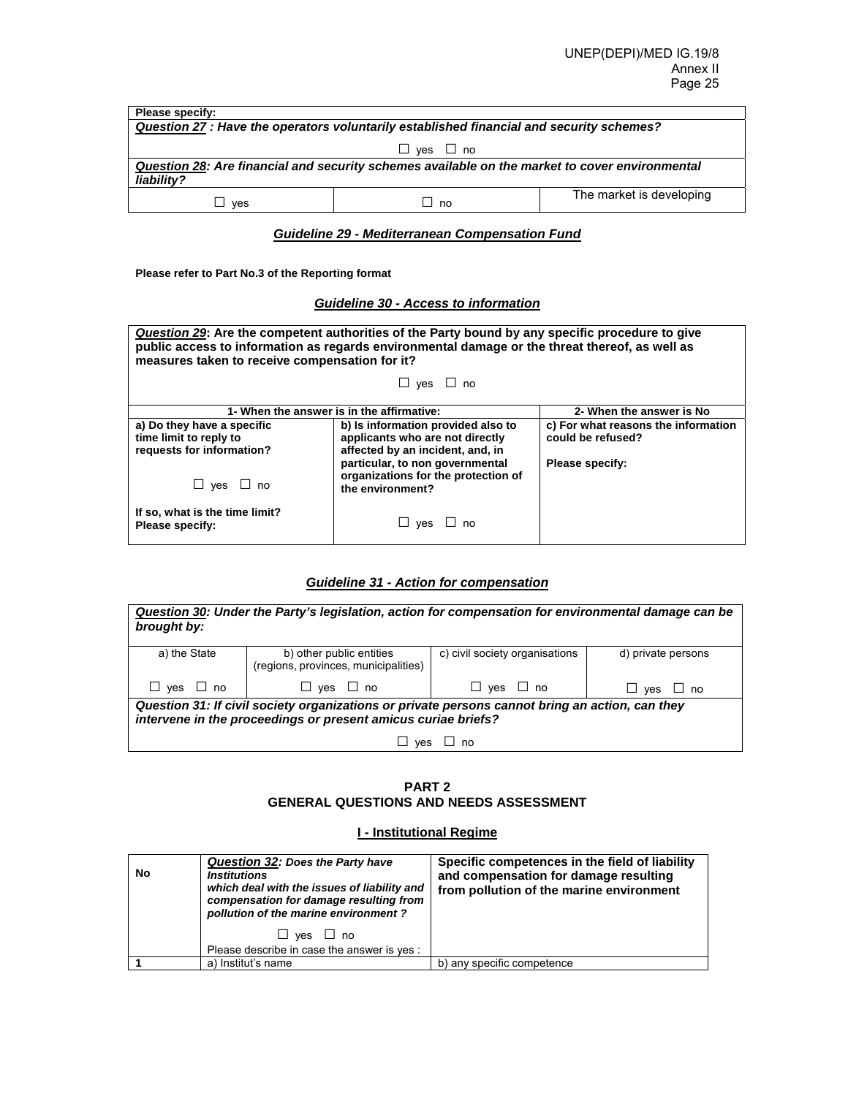| Please specify:                                                                                              |             |                          |  |
|--------------------------------------------------------------------------------------------------------------|-------------|--------------------------|--|
| Question 27 : Have the operators voluntarily established financial and security schemes?                     |             |                          |  |
| $\Box$ yes $\Box$ no                                                                                         |             |                          |  |
| Question 28: Are financial and security schemes available on the market to cover environmental<br>liability? |             |                          |  |
| ves                                                                                                          | $\sqcup$ no | The market is developing |  |

## *Guideline 29 - Mediterranean Compensation Fund*

**Please refer to Part No.3 of the Reporting format** 

## *Guideline 30 - Access to information*

| <b>Question 29:</b> Are the competent authorities of the Party bound by any specific procedure to give<br>public access to information as regards environmental damage or the threat thereof, as well as<br>measures taken to receive compensation for it? |                                                                                                                                              |                                                                             |  |
|------------------------------------------------------------------------------------------------------------------------------------------------------------------------------------------------------------------------------------------------------------|----------------------------------------------------------------------------------------------------------------------------------------------|-----------------------------------------------------------------------------|--|
| $\Box$ yes $\Box$ no                                                                                                                                                                                                                                       |                                                                                                                                              |                                                                             |  |
| 1- When the answer is in the affirmative:<br>2- When the answer is No                                                                                                                                                                                      |                                                                                                                                              |                                                                             |  |
| a) Do they have a specific<br>time limit to reply to<br>requests for information?                                                                                                                                                                          | b) Is information provided also to<br>applicants who are not directly<br>affected by an incident, and, in<br>particular, to non governmental | c) For what reasons the information<br>could be refused?<br>Please specify: |  |
| $\Box$ yes $\Box$ no                                                                                                                                                                                                                                       | organizations for the protection of<br>the environment?                                                                                      |                                                                             |  |
| If so, what is the time limit?<br>Please specify:                                                                                                                                                                                                          | $\sqcup$ ves<br>no                                                                                                                           |                                                                             |  |

# *Guideline 31 - Action for compensation*

| brought by:                                                                                                                                                      | Question 30: Under the Party's legislation, action for compensation for environmental damage can be |                                |                      |
|------------------------------------------------------------------------------------------------------------------------------------------------------------------|-----------------------------------------------------------------------------------------------------|--------------------------------|----------------------|
| a) the State                                                                                                                                                     | b) other public entities<br>(regions, provinces, municipalities)                                    | c) civil society organisations | d) private persons   |
| $\Box$ yes $\Box$ no                                                                                                                                             | $\Box$ yes $\Box$ no                                                                                | $\Box$ yes $\Box$ no           | $\Box$ yes $\Box$ no |
| Question 31: If civil society organizations or private persons cannot bring an action, can they<br>intervene in the proceedings or present amicus curiae briefs? |                                                                                                     |                                |                      |
| ves                                                                                                                                                              |                                                                                                     |                                |                      |

# **PART 2 GENERAL QUESTIONS AND NEEDS ASSESSMENT**

## **I - Institutional Regime**

| No | Question 32: Does the Party have<br><b>Institutions</b><br>which deal with the issues of liability and<br>compensation for damage resulting from<br>pollution of the marine environment? | Specific competences in the field of liability<br>and compensation for damage resulting<br>from pollution of the marine environment |
|----|------------------------------------------------------------------------------------------------------------------------------------------------------------------------------------------|-------------------------------------------------------------------------------------------------------------------------------------|
|    | $\sqcup$ ves<br>$\Box$ no                                                                                                                                                                |                                                                                                                                     |
|    | Please describe in case the answer is yes :                                                                                                                                              |                                                                                                                                     |
|    | a) Institut's name                                                                                                                                                                       | b) any specific competence                                                                                                          |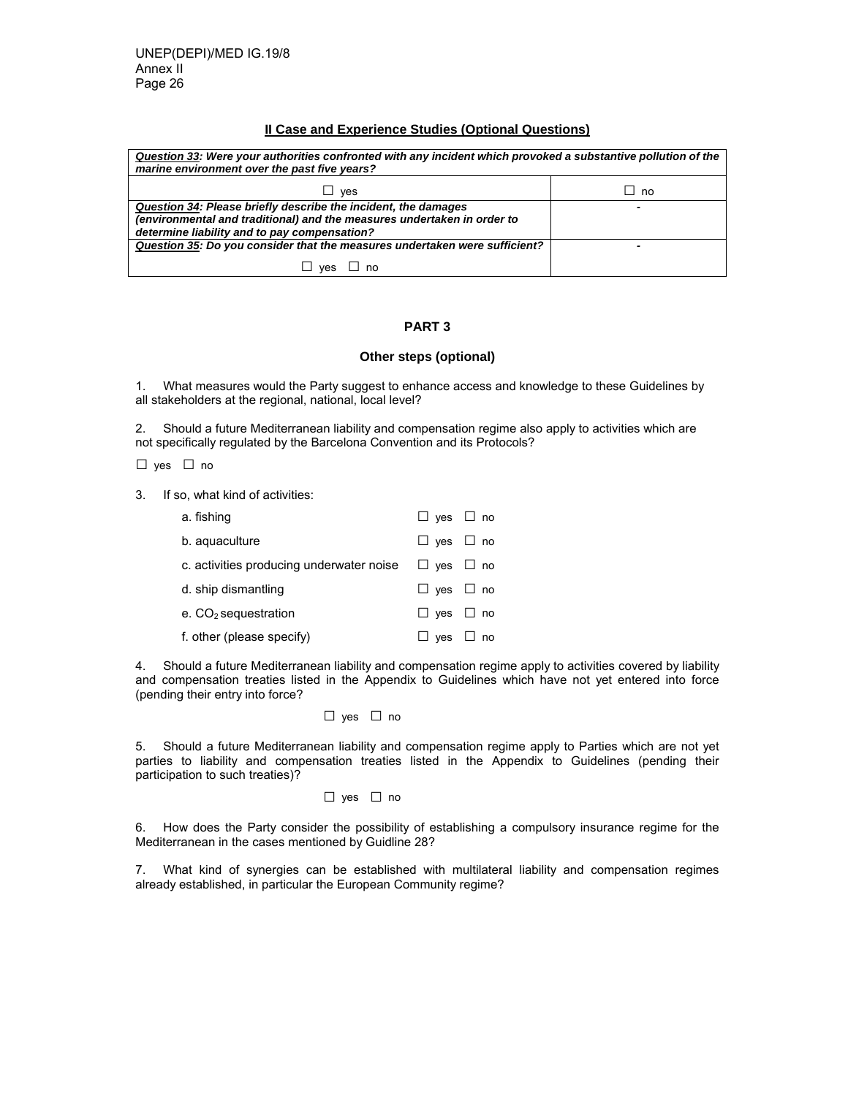## **II Case and Experience Studies (Optional Questions)**

| Question 33: Were your authorities confronted with any incident which provoked a substantive pollution of the<br>marine environment over the past five years?                             |           |  |
|-------------------------------------------------------------------------------------------------------------------------------------------------------------------------------------------|-----------|--|
| $\sqcup$ ves                                                                                                                                                                              | $\Box$ no |  |
| Question 34: Please briefly describe the incident, the damages<br>(environmental and traditional) and the measures undertaken in order to<br>determine liability and to pay compensation? |           |  |
| Question 35: Do you consider that the measures undertaken were sufficient?                                                                                                                | ۰         |  |
| ⊿ no<br>$\Box$ ves                                                                                                                                                                        |           |  |

# **PART 3**

#### **Other steps (optional)**

1. What measures would the Party suggest to enhance access and knowledge to these Guidelines by all stakeholders at the regional, national, local level?

2. Should a future Mediterranean liability and compensation regime also apply to activities which are not specifically regulated by the Barcelona Convention and its Protocols?

□ yes □ no

3. If so, what kind of activities:

| a. fishing                               | $\Box$ yes $\Box$ no |  |
|------------------------------------------|----------------------|--|
| b. aguaculture                           | $\Box$ yes $\Box$ no |  |
| c. activities producing underwater noise | $\Box$ yes $\Box$ no |  |
| d. ship dismantling                      | $\Box$ yes $\Box$ no |  |
| e. CO <sub>2</sub> sequestration         | $\Box$ yes $\Box$ no |  |
| f. other (please specify)                | $\Box$ yes $\Box$ no |  |

4. Should a future Mediterranean liability and compensation regime apply to activities covered by liability and compensation treaties listed in the Appendix to Guidelines which have not yet entered into force (pending their entry into force?

□ yes □ no

5. Should a future Mediterranean liability and compensation regime apply to Parties which are not yet parties to liability and compensation treaties listed in the Appendix to Guidelines (pending their participation to such treaties)?

#### □ yes □ no

6. How does the Party consider the possibility of establishing a compulsory insurance regime for the Mediterranean in the cases mentioned by Guidline 28?

7. What kind of synergies can be established with multilateral liability and compensation regimes already established, in particular the European Community regime?